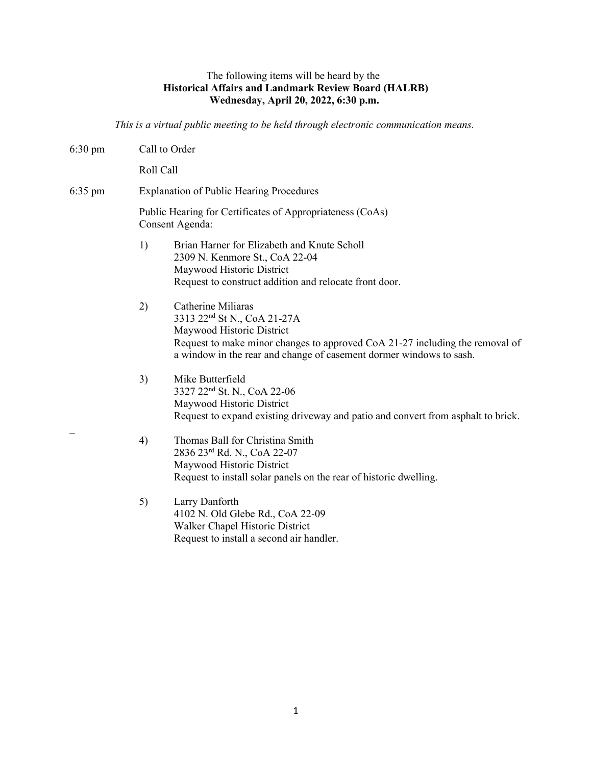## The following items will be heard by the **Historical Affairs and Landmark Review Board (HALRB) Wednesday, April 20, 2022, 6:30 p.m.**

*This is a virtual public meeting to be held through electronic communication means.*

| $6:30 \text{ pm}$ | Call to Order                                                                                                                                                                                                                                           |
|-------------------|---------------------------------------------------------------------------------------------------------------------------------------------------------------------------------------------------------------------------------------------------------|
|                   | Roll Call                                                                                                                                                                                                                                               |
| $6:35$ pm         | <b>Explanation of Public Hearing Procedures</b>                                                                                                                                                                                                         |
|                   | Public Hearing for Certificates of Appropriateness (CoAs)<br>Consent Agenda:                                                                                                                                                                            |
|                   | 1)<br>Brian Harner for Elizabeth and Knute Scholl<br>2309 N. Kenmore St., CoA 22-04<br>Maywood Historic District<br>Request to construct addition and relocate front door.                                                                              |
|                   | Catherine Miliaras<br>2)<br>3313 22 <sup>nd</sup> St N., CoA 21-27A<br>Maywood Historic District<br>Request to make minor changes to approved CoA 21-27 including the removal of<br>a window in the rear and change of casement dormer windows to sash. |
|                   | 3)<br>Mike Butterfield<br>3327 22 <sup>nd</sup> St. N., CoA 22-06<br>Maywood Historic District<br>Request to expand existing driveway and patio and convert from asphalt to brick.                                                                      |
|                   | 4)<br>Thomas Ball for Christina Smith<br>2836 23rd Rd. N., CoA 22-07<br>Maywood Historic District<br>Request to install solar panels on the rear of historic dwelling.                                                                                  |
|                   | 5)<br>Larry Danforth<br>4102 N. Old Glebe Rd., CoA 22-09<br>Walker Chapel Historic District<br>Request to install a second air handler.                                                                                                                 |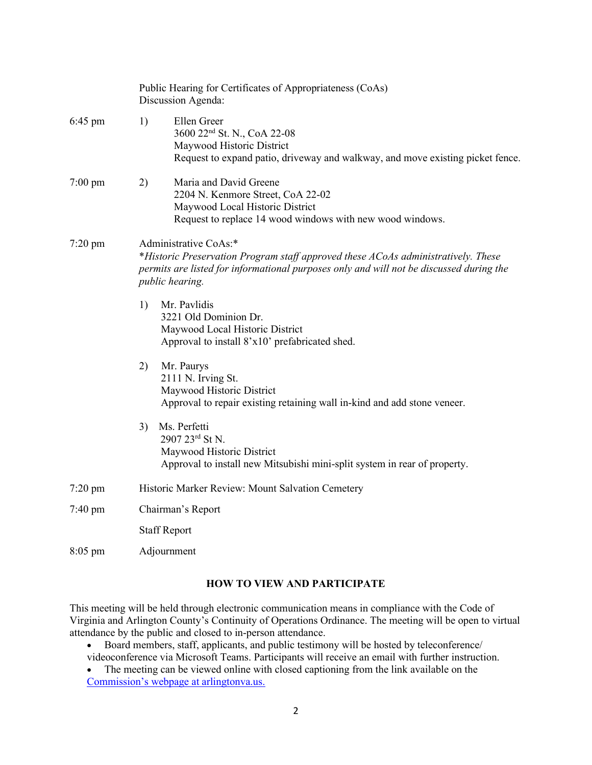|                   | Public Hearing for Certificates of Appropriateness (CoAs)<br>Discussion Agenda:                                                                                                                                                 |
|-------------------|---------------------------------------------------------------------------------------------------------------------------------------------------------------------------------------------------------------------------------|
| $6:45 \text{ pm}$ | Ellen Greer<br>1)<br>3600 22 <sup>nd</sup> St. N., CoA 22-08<br>Maywood Historic District<br>Request to expand patio, driveway and walkway, and move existing picket fence.                                                     |
| $7:00 \text{ pm}$ | Maria and David Greene<br>2)<br>2204 N. Kenmore Street, CoA 22-02<br>Maywood Local Historic District<br>Request to replace 14 wood windows with new wood windows.                                                               |
| $7:20$ pm         | Administrative CoAs:*<br>*Historic Preservation Program staff approved these ACoAs administratively. These<br>permits are listed for informational purposes only and will not be discussed during the<br><i>public hearing.</i> |
|                   | 1)<br>Mr. Pavlidis<br>3221 Old Dominion Dr.<br>Maywood Local Historic District<br>Approval to install 8'x10' prefabricated shed.                                                                                                |
|                   | 2)<br>Mr. Paurys<br>2111 N. Irving St.<br>Maywood Historic District<br>Approval to repair existing retaining wall in-kind and add stone veneer.                                                                                 |
|                   | Ms. Perfetti<br>3)<br>2907 23rd St N.<br>Maywood Historic District<br>Approval to install new Mitsubishi mini-split system in rear of property.                                                                                 |
| $7:20$ pm         | Historic Marker Review: Mount Salvation Cemetery                                                                                                                                                                                |
| $7:40 \text{ pm}$ | Chairman's Report                                                                                                                                                                                                               |
|                   | <b>Staff Report</b>                                                                                                                                                                                                             |
| $8:05$ pm         | Adjournment                                                                                                                                                                                                                     |

## **HOW TO VIEW AND PARTICIPATE**

This meeting will be held through electronic communication means in compliance with the Code of Virginia and Arlington County's Continuity of Operations Ordinance. The meeting will be open to virtual attendance by the public and closed to in-person attendance.

- Board members, staff, applicants, and public testimony will be hosted by teleconference/ videoconference via Microsoft Teams. Participants will receive an email with further instruction.
- The meeting can be viewed online with closed captioning from the link available on the [Commission's webpage at arlingtonva.us.](https://www.arlingtonva.us/Government/Commissions-and-Advisory-Groups/Historical-Affairs-Landmark-Review-Board)